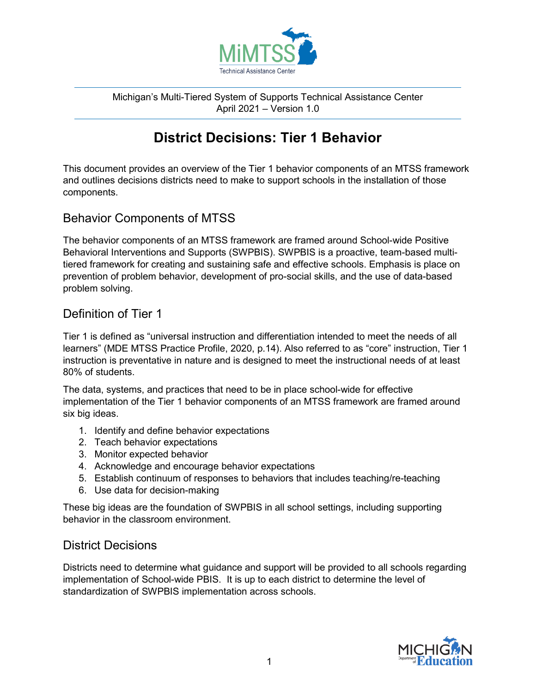

Michigan's Multi-Tiered System of Supports Technical Assistance Center April 2021 – Version 1.0

# **District Decisions: Tier 1 Behavior**

This document provides an overview of the Tier 1 behavior components of an MTSS framework and outlines decisions districts need to make to support schools in the installation of those components.

# Behavior Components of MTSS

The behavior components of an MTSS framework are framed around School-wide Positive Behavioral Interventions and Supports (SWPBIS). SWPBIS is a proactive, team-based multitiered framework for creating and sustaining safe and effective schools. Emphasis is place on prevention of problem behavior, development of pro-social skills, and the use of data-based problem solving.

# Definition of Tier 1

Tier 1 is defined as "universal instruction and differentiation intended to meet the needs of all learners" (MDE MTSS Practice Profile, 2020, p.14). Also referred to as "core" instruction, Tier 1 instruction is preventative in nature and is designed to meet the instructional needs of at least 80% of students.

The data, systems, and practices that need to be in place school-wide for effective implementation of the Tier 1 behavior components of an MTSS framework are framed around six big ideas.

- 1. Identify and define behavior expectations
- 2. Teach behavior expectations
- 3. Monitor expected behavior
- 4. Acknowledge and encourage behavior expectations
- 5. Establish continuum of responses to behaviors that includes teaching/re-teaching
- 6. Use data for decision-making

These big ideas are the foundation of SWPBIS in all school settings, including supporting behavior in the classroom environment.

# District Decisions

Districts need to determine what guidance and support will be provided to all schools regarding implementation of School-wide PBIS. It is up to each district to determine the level of standardization of SWPBIS implementation across schools.

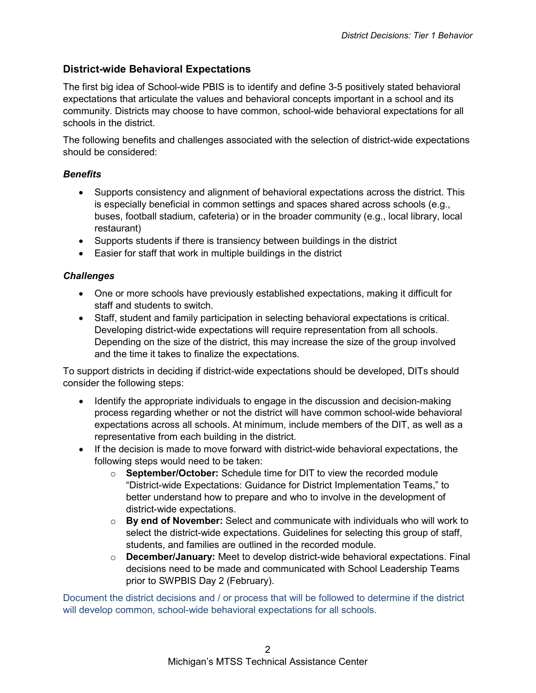### **District-wide Behavioral Expectations**

The first big idea of School-wide PBIS is to identify and define 3-5 positively stated behavioral expectations that articulate the values and behavioral concepts important in a school and its community. Districts may choose to have common, school-wide behavioral expectations for all schools in the district.

The following benefits and challenges associated with the selection of district-wide expectations should be considered:

#### *Benefits*

- Supports consistency and alignment of behavioral expectations across the district. This is especially beneficial in common settings and spaces shared across schools (e.g., buses, football stadium, cafeteria) or in the broader community (e.g., local library, local restaurant)
- Supports students if there is transiency between buildings in the district
- Easier for staff that work in multiple buildings in the district

#### *Challenges*

- One or more schools have previously established expectations, making it difficult for staff and students to switch.
- Staff, student and family participation in selecting behavioral expectations is critical. Developing district-wide expectations will require representation from all schools. Depending on the size of the district, this may increase the size of the group involved and the time it takes to finalize the expectations.

To support districts in deciding if district-wide expectations should be developed, DITs should consider the following steps:

- Identify the appropriate individuals to engage in the discussion and decision-making process regarding whether or not the district will have common school-wide behavioral expectations across all schools. At minimum, include members of the DIT, as well as a representative from each building in the district.
- If the decision is made to move forward with district-wide behavioral expectations, the following steps would need to be taken:
	- o **September/October:** Schedule time for DIT to view the recorded module "District-wide Expectations: Guidance for District Implementation Teams," to better understand how to prepare and who to involve in the development of district-wide expectations.
	- o **By end of November:** Select and communicate with individuals who will work to select the district-wide expectations. Guidelines for selecting this group of staff, students, and families are outlined in the recorded module.
	- o **December/January:** Meet to develop district-wide behavioral expectations. Final decisions need to be made and communicated with School Leadership Teams prior to SWPBIS Day 2 (February).

Document the district decisions and / or process that will be followed to determine if the district will develop common, school-wide behavioral expectations for all schools.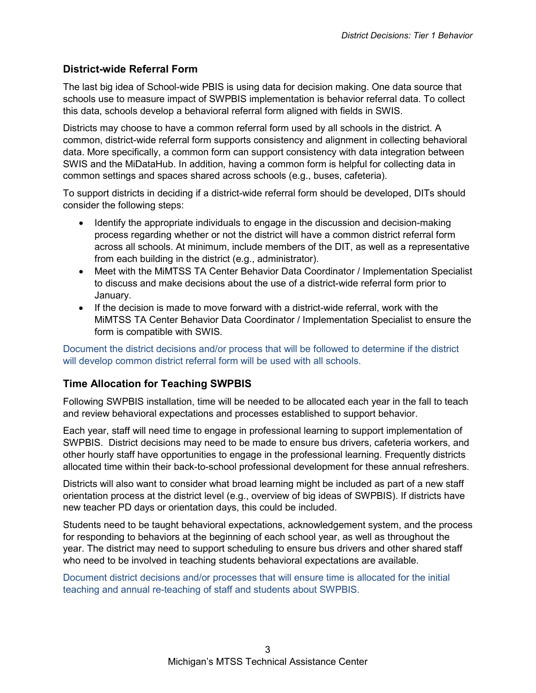### **District-wide Referral Form**

The last big idea of School-wide PBIS is using data for decision making. One data source that schools use to measure impact of SWPBIS implementation is behavior referral data. To collect this data, schools develop a behavioral referral form aligned with fields in SWIS.

Districts may choose to have a common referral form used by all schools in the district. A common, district-wide referral form supports consistency and alignment in collecting behavioral data. More specifically, a common form can support consistency with data integration between SWIS and the MiDataHub. In addition, having a common form is helpful for collecting data in common settings and spaces shared across schools (e.g., buses, cafeteria).

To support districts in deciding if a district-wide referral form should be developed, DITs should consider the following steps:

- Identify the appropriate individuals to engage in the discussion and decision-making process regarding whether or not the district will have a common district referral form across all schools. At minimum, include members of the DIT, as well as a representative from each building in the district (e.g., administrator).
- Meet with the MiMTSS TA Center Behavior Data Coordinator / Implementation Specialist to discuss and make decisions about the use of a district-wide referral form prior to January.
- If the decision is made to move forward with a district-wide referral, work with the MiMTSS TA Center Behavior Data Coordinator / Implementation Specialist to ensure the form is compatible with SWIS.

Document the district decisions and/or process that will be followed to determine if the district will develop common district referral form will be used with all schools.

### **Time Allocation for Teaching SWPBIS**

Following SWPBIS installation, time will be needed to be allocated each year in the fall to teach and review behavioral expectations and processes established to support behavior.

Each year, staff will need time to engage in professional learning to support implementation of SWPBIS. District decisions may need to be made to ensure bus drivers, cafeteria workers, and other hourly staff have opportunities to engage in the professional learning. Frequently districts allocated time within their back-to-school professional development for these annual refreshers.

Districts will also want to consider what broad learning might be included as part of a new staff orientation process at the district level (e.g., overview of big ideas of SWPBIS). If districts have new teacher PD days or orientation days, this could be included.

Students need to be taught behavioral expectations, acknowledgement system, and the process for responding to behaviors at the beginning of each school year, as well as throughout the year. The district may need to support scheduling to ensure bus drivers and other shared staff who need to be involved in teaching students behavioral expectations are available.

Document district decisions and/or processes that will ensure time is allocated for the initial teaching and annual re-teaching of staff and students about SWPBIS.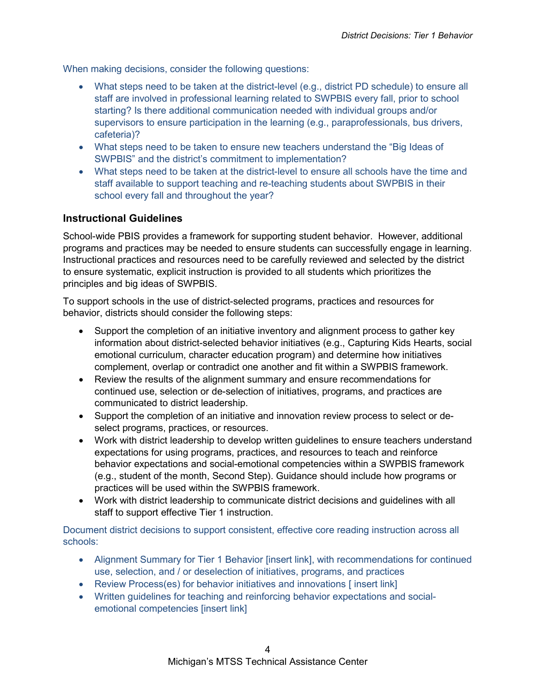When making decisions, consider the following questions:

- What steps need to be taken at the district-level (e.g., district PD schedule) to ensure all staff are involved in professional learning related to SWPBIS every fall, prior to school starting? Is there additional communication needed with individual groups and/or supervisors to ensure participation in the learning (e.g., paraprofessionals, bus drivers, cafeteria)?
- What steps need to be taken to ensure new teachers understand the "Big Ideas of SWPBIS" and the district's commitment to implementation?
- What steps need to be taken at the district-level to ensure all schools have the time and staff available to support teaching and re-teaching students about SWPBIS in their school every fall and throughout the year?

#### **Instructional Guidelines**

School-wide PBIS provides a framework for supporting student behavior. However, additional programs and practices may be needed to ensure students can successfully engage in learning. Instructional practices and resources need to be carefully reviewed and selected by the district to ensure systematic, explicit instruction is provided to all students which prioritizes the principles and big ideas of SWPBIS.

To support schools in the use of district-selected programs, practices and resources for behavior, districts should consider the following steps:

- Support the completion of an initiative inventory and alignment process to gather key information about district-selected behavior initiatives (e.g., Capturing Kids Hearts, social emotional curriculum, character education program) and determine how initiatives complement, overlap or contradict one another and fit within a SWPBIS framework.
- Review the results of the alignment summary and ensure recommendations for continued use, selection or de-selection of initiatives, programs, and practices are communicated to district leadership.
- Support the completion of an initiative and innovation review process to select or deselect programs, practices, or resources.
- Work with district leadership to develop written guidelines to ensure teachers understand expectations for using programs, practices, and resources to teach and reinforce behavior expectations and social-emotional competencies within a SWPBIS framework (e.g., student of the month, Second Step). Guidance should include how programs or practices will be used within the SWPBIS framework.
- Work with district leadership to communicate district decisions and guidelines with all staff to support effective Tier 1 instruction.

Document district decisions to support consistent, effective core reading instruction across all schools:

- Alignment Summary for Tier 1 Behavior [insert link], with recommendations for continued use, selection, and / or deselection of initiatives, programs, and practices
- Review Process(es) for behavior initiatives and innovations [insert link]
- Written guidelines for teaching and reinforcing behavior expectations and socialemotional competencies [insert link]